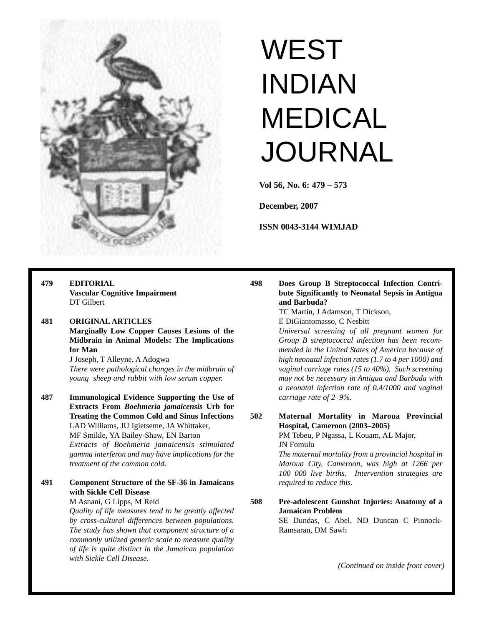

# **WEST** INDIAN MEDICAL JOURNAL

**Vol 56, No. 6: 479 – 573**

**December, 2007**

**ISSN 0043-3144 WIMJAD**

**479 EDITORIAL Vascular Cognitive Impairment**  DT Gilbert

## **481 ORIGINAL ARTICLES Marginally Low Copper Causes Lesions of the Midbrain in Animal Models: The Implications for Man**

J Joseph, T Alleyne, A Adogwa *There were pathological changes in the midbrain of young sheep and rabbit with low serum copper.*

**487 Immunological Evidence Supporting the Use of Extracts From** *Boehmeria jamaicensis* **Urb for Treating the Common Cold and Sinus Infections** LAD Williams, JU Igietseme, JA Whittaker, MF Smikle, YA Bailey-Shaw, EN Barton *Extracts of Boehmeria jamaicensis stimulated gamma interferon and may have implications for the*

*treatment of the common cold.*

**491 Component Structure of the SF-36 in Jamaicans with Sickle Cell Disease**

#### M Asnani, G Lipps, M Reid *Quality of life measures tend to be greatly affected by cross-cultural differences between populations. The study has shown that component structure of a commonly utilized generic scale to measure quality of life is quite distinct in the Jamaican population with Sickle Cell Disease.*

**498 Does Group B Streptococcal Infection Contribute Significantly to Neonatal Sepsis in Antigua and Barbuda?**

> TC Martin, J Adamson, T Dickson, E DiGiantomasso, C Nesbitt

*Universal screening of all pregnant women for Group B streptococcal infection has been recommended in the United States of America because of high neonatal infection rates (1.7 to 4 per 1000) and vaginal carriage rates (15 to 40%). Such screening may not be necessary in Antigua and Barbuda with a neonatal infection rate of 0.4/1000 and vaginal carriage rate of 2–9%.*

## **502 Maternal Mortality in Maroua Provincial Hospital, Cameroon (2003–2005)**

PM Tebeu, P Ngassa, L Kouam, AL Major, JN Fomulu

*The maternal mortality from a provincial hospital in Maroua City, Cameroon, was high at 1266 per 100 000 live births. Intervention strategies are required to reduce this.*

**508 Pre-adolescent Gunshot Injuries: Anatomy of a Jamaican Problem**

SE Dundas, C Abel, ND Duncan C Pinnock-Ramsaran, DM Sawh

*(Continued on inside front cover)*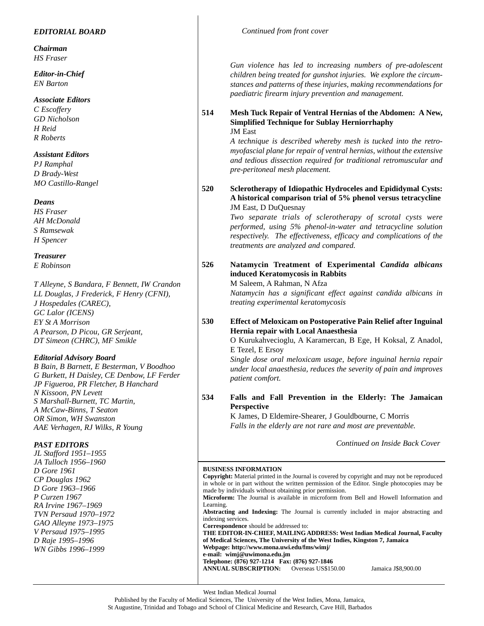## *EDITORIAL BOARD*

*Chairman HS Fraser*

*Editor-in-Chief EN Barton*

#### *Associate Editors*

*C Escoffery GD Nicholson H Reid R Roberts*

### *Assistant Editors*

*PJ Ramphal D Brady-West MO Castillo-Rangel*

*Deans*

*HS Fraser AH McDonald S Ramsewak H Spencer*

*Treasurer*

*E Robinson*

*T Alleyne, S Bandara, F Bennett, IW Crandon LL Douglas, J Frederick, F Henry (CFNI), J Hospedales (CAREC), GC Lalor (ICENS) EY St A Morrison A Pearson, D Picou, GR Serjeant, DT Simeon (CHRC), MF Smikle*

### *Editorial Advisory Board*

*B Bain, B Barnett, E Besterman, V Boodhoo G Burkett, H Daisley, CE Denbow, LF Ferder JP Figueroa, PR Fletcher, B Hanchard N Kissoon, PN Levett S Marshall-Burnett, TC Martin, A McCaw-Binns, T Seaton OR Simon, WH Swanston AAE Verhagen, RJ Wilks, R Young*

### *PAST EDITORS*

*JL Stafford 1951–1955 JA Tulloch 1956–1960 D Gore 1961 CP Douglas 1962 D Gore 1963–1966 P Curzen 1967 RA Irvine 1967–1969 TVN Persaud 1970–1972 GAO Alleyne 1973–1975 V Persaud 1975–1995 D Raje 1995–1996 WN Gibbs 1996–1999*

*Gun violence has led to increasing numbers of pre-adolescent children being treated for gunshot injuries. We explore the circumstances and patterns of these injuries, making recommendations for paediatric firearm injury prevention and management.*

#### **514 Mesh Tuck Repair of Ventral Hernias of the Abdomen: A New, Simplified Technique for Sublay Herniorrhaphy** JM East

*A technique is described whereby mesh is tucked into the retromyofascial plane for repair of ventral hernias, without the extensive and tedious dissection required for traditional retromuscular and pre-peritoneal mesh placement.*

**520 Sclerotherapy of Idiopathic Hydroceles and Epididymal Cysts: A historical comparison trial of 5% phenol versus tetracycline** JM East, D DuQuesnay

> *Two separate trials of sclerotherapy of scrotal cysts were performed, using 5% phenol-in-water and tetracycline solution respectively. The effectiveness, efficacy and complications of the treatments are analyzed and compared.*

# **526 Natamycin Treatment of Experimental** *Candida albicans* **induced Keratomycosis in Rabbits**

M Saleem, A Rahman, N Afza *Natamycin has a significant effect against candida albicans in treating experimental keratomycosis*

**530 Effect of Meloxicam on Postoperative Pain Relief after Inguinal Hernia repair with Local Anaesthesia**

> O Kurukahvecioglu, A Karamercan, B Ege, H Koksal, Z Anadol, E Tezel, E Ersoy

> *Single dose oral meloxicam usage, before inguinal hernia repair under local anaesthesia, reduces the severity of pain and improves patient comfort.*

# **534 Falls and Fall Prevention in the Elderly: The Jamaican Perspective**

K James, D Eldemire-Shearer, J Gouldbourne, C Morris *Falls in the elderly are not rare and most are preventable.*

*Continued on Inside Back Cover*

#### **BUSINESS INFORMATION**

**Copyright:** Material printed in the Journal is covered by copyright and may not be reproduced in whole or in part without the written permission of the Editor. Single photocopies may be made by individuals without obtaining prior permission. **Microform:** The Journal is available in microform from Bell and Howell Information and Learning. **Abstracting and Indexing:** The Journal is currently included in major abstracting and

indexing services. **Correspondence** should be addressed to:

**THE EDITOR-IN-CHIEF, MAILING ADDRESS: West Indian Medical Journal, Faculty of Medical Sciences, The University of the West Indies, Kingston 7, Jamaica Webpage: http://www.mona.uwi.edu/fms/wimj/ e-mail: wimj@uwimona.edu.jm Telephone: (876) 927-1214 Fax: (876) 927-1846**

**ANNUAL SUBSCRIPTION:** Overseas US\$150.00 Jamaica J\$8,900.00

West Indian Medical Journal